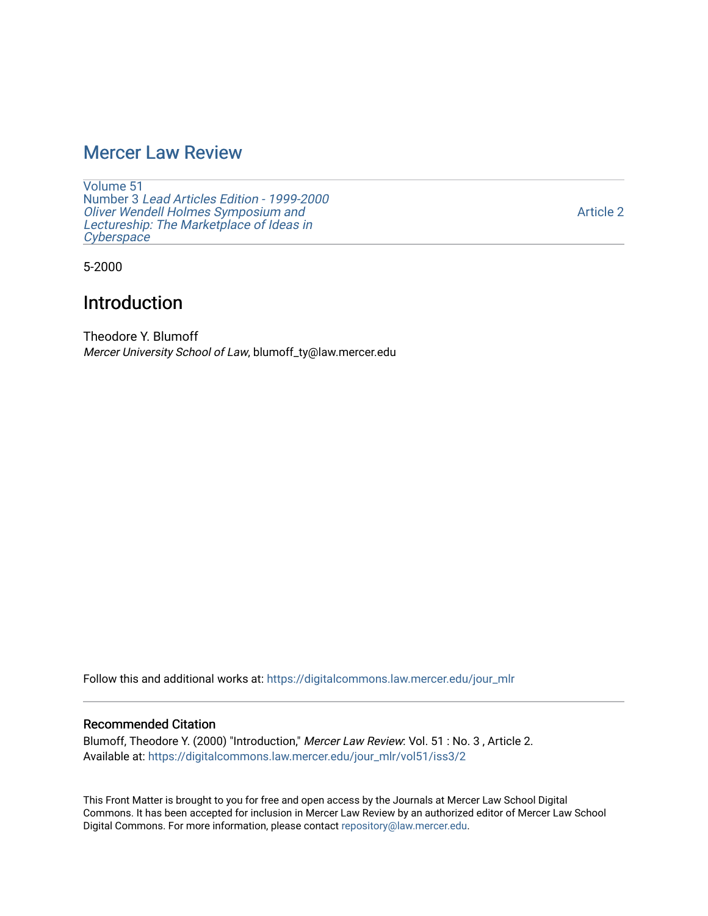## [Mercer Law Review](https://digitalcommons.law.mercer.edu/jour_mlr)

[Volume 51](https://digitalcommons.law.mercer.edu/jour_mlr/vol51) Number 3 [Lead Articles Edition - 1999-2000](https://digitalcommons.law.mercer.edu/jour_mlr/vol51/iss3) [Oliver Wendell Holmes Symposium and](https://digitalcommons.law.mercer.edu/jour_mlr/vol51/iss3)  [Lectureship: The Marketplace of Ideas in](https://digitalcommons.law.mercer.edu/jour_mlr/vol51/iss3) **[Cyberspace](https://digitalcommons.law.mercer.edu/jour_mlr/vol51/iss3)** 

5-2000

### Introduction

Theodore Y. Blumoff Mercer University School of Law, blumoff\_ty@law.mercer.edu

Follow this and additional works at: [https://digitalcommons.law.mercer.edu/jour\\_mlr](https://digitalcommons.law.mercer.edu/jour_mlr?utm_source=digitalcommons.law.mercer.edu%2Fjour_mlr%2Fvol51%2Fiss3%2F2&utm_medium=PDF&utm_campaign=PDFCoverPages)

### Recommended Citation

Blumoff, Theodore Y. (2000) "Introduction," Mercer Law Review: Vol. 51 : No. 3, Article 2. Available at: [https://digitalcommons.law.mercer.edu/jour\\_mlr/vol51/iss3/2](https://digitalcommons.law.mercer.edu/jour_mlr/vol51/iss3/2?utm_source=digitalcommons.law.mercer.edu%2Fjour_mlr%2Fvol51%2Fiss3%2F2&utm_medium=PDF&utm_campaign=PDFCoverPages)

This Front Matter is brought to you for free and open access by the Journals at Mercer Law School Digital Commons. It has been accepted for inclusion in Mercer Law Review by an authorized editor of Mercer Law School Digital Commons. For more information, please contact [repository@law.mercer.edu](mailto:repository@law.mercer.edu).

[Article 2](https://digitalcommons.law.mercer.edu/jour_mlr/vol51/iss3/2)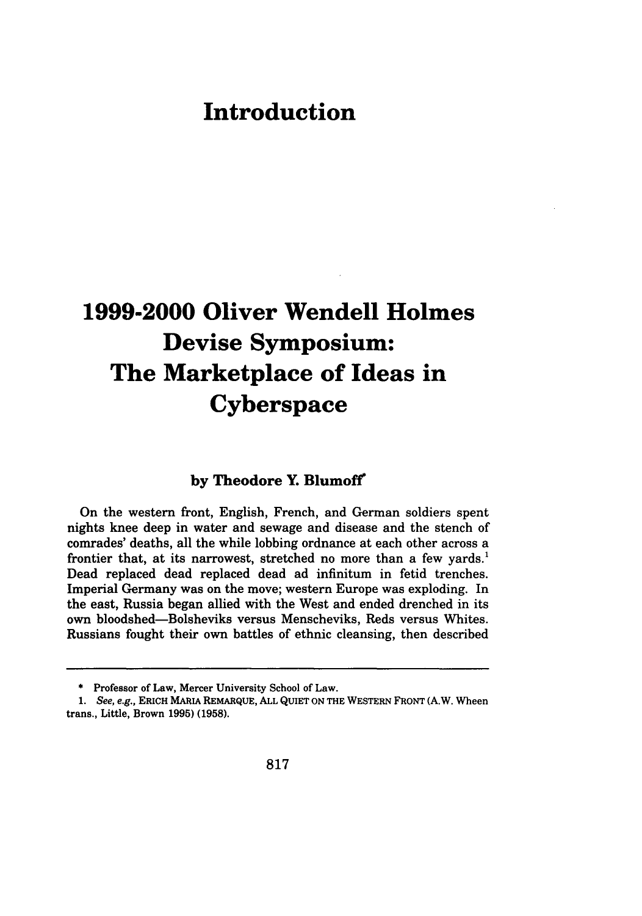# **Introduction**

# **1999-2000 Oliver Wendell Holmes Devise Symposium: The Marketplace of Ideas in Cyberspace**

### **by Theodore Y. Blumoff**

On the western front, English, French, and German soldiers spent nights knee deep in water and sewage and disease and the stench of comrades' deaths, all the while lobbing ordnance at each other across a frontier that, at its narrowest, stretched no more than a few yards.' Dead replaced dead replaced dead ad infinitum in fetid trenches. Imperial Germany was on the move; western Europe was exploding. In the east, Russia began allied with the West and ended drenched in its own bloodshed-Bolsheviks versus Menscheviks, Reds versus Whites. Russians fought their own battles of ethnic cleansing, then described

**<sup>\*</sup>** Professor of Law, Mercer University School of Law.

*<sup>1.</sup>* See, e.g., **ERICH** MARIA **REMARQUE, ALL** QUIET **ON** THE WESTERN FRONT (A.W. Wheen trans., Little, Brown **1995) (1958).**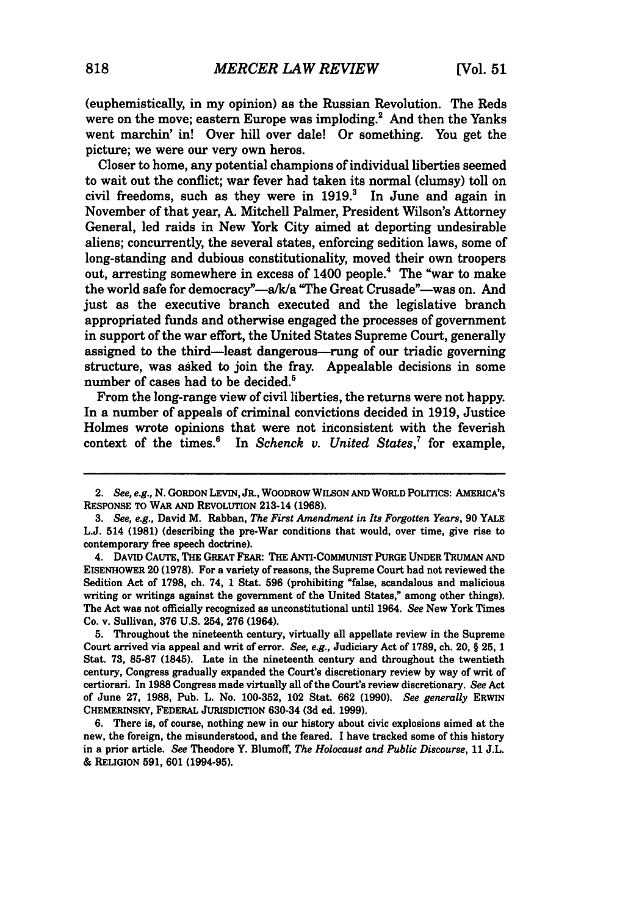(euphemistically, in my opinion) as the Russian Revolution. The Reds were on the move; eastern Europe was imploding.<sup>2</sup> And then the Yanks went marchin' in! Over hill over dale! Or something. You get the picture; we were our very own heros.

Closer to home, any potential champions of individual liberties seemed to wait out the conflict; war fever had taken its normal (clumsy) toll on civil freedoms, such as they were in  $1919$ .<sup>3</sup> In June and again in November of that year, A. Mitchell Palmer, President Wilson's Attorney General, led raids in New York City aimed at deporting undesirable aliens; concurrently, the several states, enforcing sedition laws, some of long-standing and dubious constitutionality, moved their own troopers out, arresting somewhere in excess of 1400 people.4 The "war to make the world safe for democracy"-a/k/a "The Great Crusade"-was on. And just as the executive branch executed and the legislative branch appropriated funds and otherwise engaged the processes of government in support of the war effort, the United States Supreme Court, generally assigned to the third-least dangerous-rung of our triadic governing structure, was asked to join the fray. Appealable decisions in some number of cases had to be decided.'

From the long-range view of civil liberties, the returns were not happy. In a number of appeals of criminal convictions decided in **1919,** Justice Holmes wrote opinions that were not inconsistent with the feverish context of the times.<sup>6</sup> In *Schenck v. United States*,<sup>7</sup> for example,

**5.** Throughout the nineteenth century, virtually all appellate review in the Supreme Court arrived via appeal and writ of error. *See, e.g.,* Judiciary Act of **1789,** ch. 20, § **25, 1** Stat. **73, 85-87** (1845). Late in the nineteenth century and throughout the twentieth century, Congress gradually expanded the Court's discretionary review **by** way of writ of certiorari. In **1988** Congress made virtually all of the Court's review discretionary. *See* Act of June **27, 1988,** Pub. L. No. **100-352,** 102 Stat. **662 (1990).** *See generally* ERWIN CHEMERINSKY, FEDERAL JURISDICTION 630-34 **(3d** *ed.* **1999).**

**6.** There is, of course, nothing new in our history about civic explosions aimed at the new, the foreign, the misunderstood, and the feared. I have tracked some of this history in a prior article. *See* Theodore Y. Blumoff, *The Holocaust and Public Discourse,* **11 J.L.** & RELIGION **591, 601 (1994-95).**

<sup>2.</sup> *See, e.g.,* **N.** GORDON LEVIN, JR., WOODROW WILSON **AND** WORLD POLITICS: AMERICA'S **RESPONSE** TO WAR **AND REVOLUTION** 213-14 **(1968).**

*<sup>3.</sup> See, e.g.,* David M. **Rabban,** *The First Amendment in Its Forgotten Years,* **90** YALE **L.J.** 514 **(1981)** (describing the pre-War conditions that would, over time, give rise to contemporary free speech doctrine).

<sup>4.</sup> DAVID CAUTE, THE GREAT FEAR: THE ANTI-COMMUNIST **PURGE UNDER** TRUMAN **AND** EISENHOWER 20 **(1978).** For a variety of reasons, the Supreme Court had not reviewed the Sedition Act of **1798,** ch. 74, **1** Stat. **596** (prohibiting "false, scandalous and malicious writing or writings against the government of the United States," among other things). The Act was not officially recognized as unconstitutional until 1964. *See* New York Times Co. v. Sullivan, **376 U.S.** 254, **276** (1964).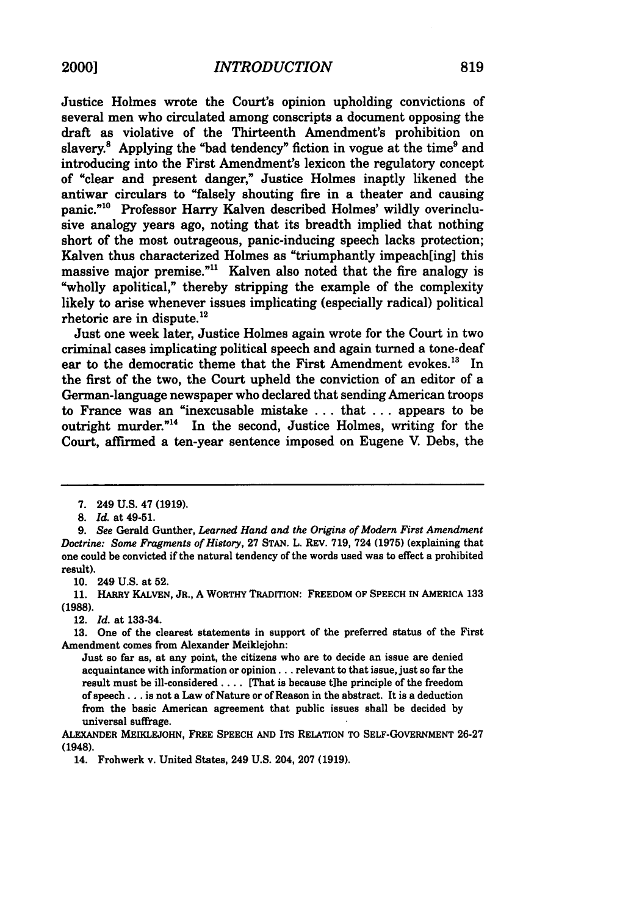Justice Holmes wrote the Court's opinion upholding convictions of several men who circulated among conscripts a document opposing the draft as violative of the Thirteenth Amendment's prohibition on slavery. $8$  Applying the "bad tendency" fiction in vogue at the time  $9$  and introducing into the First Amendment's lexicon the regulatory concept of "clear and present danger," Justice Holmes inaptly likened the antiwar circulars to "falsely shouting fire in a theater and causing panic."<sup>10</sup> Professor Harry Kalven described Holmes' wildly overinclusive analogy years ago, noting that its breadth implied that nothing short of the most outrageous, panic-inducing speech lacks protection; Kalven thus characterized Holmes as "triumphantly impeach[ing] this massive major premise."<sup>11</sup> Kalven also noted that the fire analogy is "wholly apolitical," thereby stripping the example of the complexity likely to arise whenever issues implicating (especially radical) political rhetoric are in dispute.12

Just one week later, Justice Holmes again wrote for the Court in two criminal cases implicating political speech and again turned a tone-deaf ear to the democratic theme that the First Amendment evokes.<sup>13</sup> In the first of the two, the Court upheld the conviction of an editor of a German-language newspaper who declared that sending American troops to France was an "inexcusable mistake ... that ... appears to be outright murder. $14$  In the second, Justice Holmes, writing for the Court, affirmed a ten-year sentence imposed on Eugene V. Debs, the

10. 249 U.S. at 52.

**11.** HARRY **KALVEN,** JR., **A** WORTHY TRADITION: FREEDOM OF **SPEECH** IN AMERICA 133 **(1988).**

12. *Id.* at 133-34.

**13.** One of the clearest statements in support of the preferred status of the First Amendment comes from Alexander Meiklejohn:

Just so far as, at any point, the citizens who are to decide an issue are denied acquaintance with information or opinion... relevant to that issue, just so far the result must be ill-considered .... [That is because t]he principle of the freedom of speech **...** is not a Law of Nature or of Reason in the abstract. It is a deduction from the basic American agreement that public issues shall be decided **by** universal suffrage.

ALEXANDER **MEIKLEJOHN,** FREE **SPEECH AND** ITS RELATION TO SELF-GOVERNMENT **26-27** (1948).

14. Frohwerk v. United States, 249 **U.S.** 204, **207 (1919).**

<sup>7. 249</sup> U.S. 47 (1919).

<sup>8.</sup> *Id.* at 49-51.

*<sup>9.</sup> See* Gerald Gunther, *Learned Hand and the Origins of Modern First Amendment Doctrine: Some Fragments of History,* 27 **STAN.** L. REV. 719, 724 (1975) (explaining that one could be convicted if the natural tendency of the words used was to effect a prohibited result).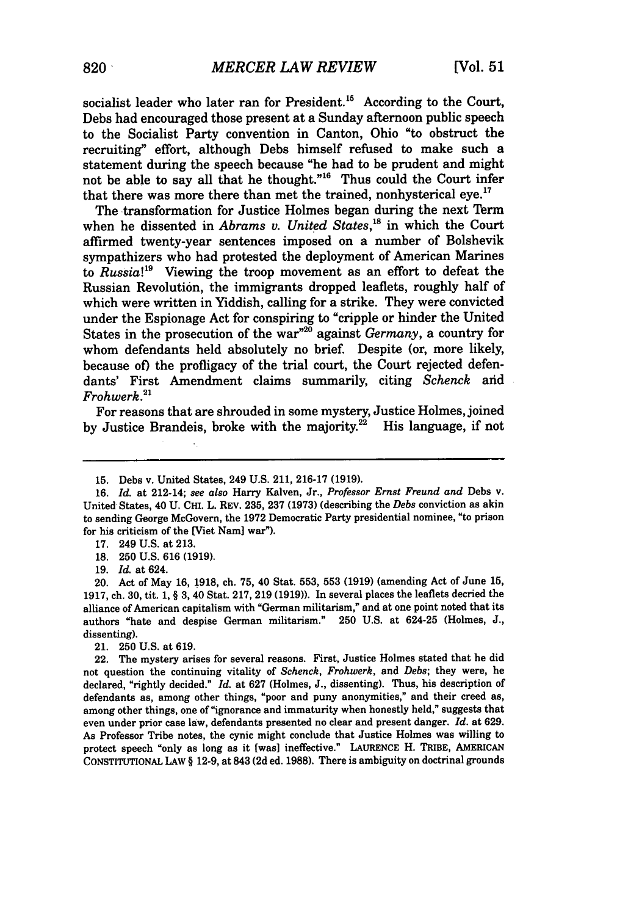socialist leader who later ran for President.<sup>15</sup> According to the Court, Debs had encouraged those present at a Sunday afternoon public speech to the Socialist Party convention in Canton, Ohio "to obstruct the recruiting" effort, although Debs himself refused to make such a statement during the speech because "he had to be prudent and might not be able to say all that he thought."<sup>16</sup> Thus could the Court infer that there was more there than met the trained, nonhysterical eye.<sup>17</sup>

The transformation for Justice Holmes began during the next Term when he dissented in *Abrams v. United States*,<sup>18</sup> in which the Court affirmed twenty-year sentences imposed on a number of Bolshevik sympathizers who had protested the deployment of American Marines to *Russia!9* Viewing the troop movement as an effort to defeat the Russian Revolution, the immigrants dropped leaflets, roughly half of which were written in Yiddish, calling for a strike. They were convicted under the Espionage Act for conspiring to "cripple or hinder the United States in the prosecution of the war"2° against *Germany,* a country for whom defendants held absolutely no brief. Despite (or, more likely, because of) the profligacy of the trial court, the Court rejected defendants' First Amendment claims summarily, citing *Schenck* and *Frohwerk."*

For reasons that are shrouded in some mystery, Justice Holmes, joined by Justice Brandeis, broke with the majority. $2^2$  His language, if not

19. *Id.* at 624.

20. Act of May **16, 1918,** ch. **75,** 40 Stat. **553, 553 (1919)** (amending Act of June **15, 1917,** ch. **30,** tit. **1,** § **3,** 40 Stat. **217, 219 (1919)).** In several places the leaflets decried the alliance of American capitalism with "German militarism," and at one point noted that its authors "hate and despise German militarism." **250 U.S.** at 624-25 (Holmes, **J.,** dissenting).

21. **250 U.S.** at **619.**

22. The mystery arises for several reasons. First, Justice Holmes stated that he did not question the continuing vitality of *Schenck, Frohwerk,* and *Debs;* they were, he declared, "rightly decided." *Id.* at **627** (Holmes, **J.,** dissenting). Thus, his description of defendants as, among other things, "poor and puny anonymities," and their creed as, among other things, one of "ignorance and immaturity when honestly held," suggests that even under prior case law, defendants presented no clear and present danger. *Id.* at **629.** As Professor Tribe notes, the cynic might conclude that Justice Holmes was willing to protect speech "only as long as it [was] ineffective." **LAURENCE** H. TRIBE, **AMERICAN CONSTITUTIONAL** LAW § **12-9,** at 843 **(2d** ed. **1988).** There is ambiguity on doctrinal grounds

<sup>15.</sup> Debs v. United States, 249 U.S. 211, 216-17 (1919).

<sup>16.</sup> *Id.* at 212-14; *see also* Harry Kalven, Jr., *Professor Ernst Freund and* Debs v. United States, 40 U. CHI. L. REV. 235, 237 (1973) (describing the *Debs* conviction as akin to sending George McGovern, the 1972 Democratic Party presidential nominee, "to prison for his criticism of the [Viet Nam] war").

<sup>17. 249</sup> U.S. at 213.

<sup>18. 250</sup> U.S. 616 (1919).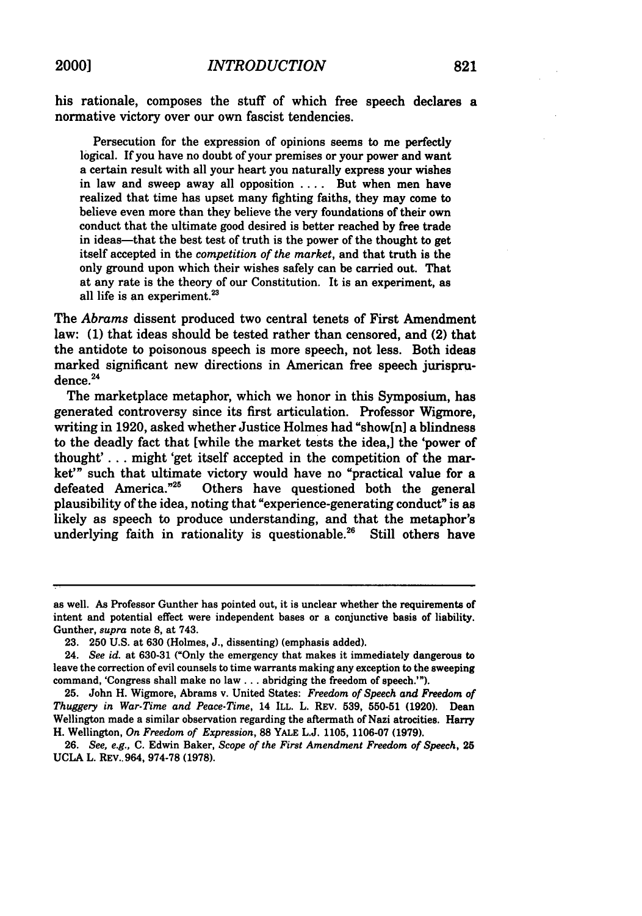Persecution for the expression of opinions seems to me perfectly logical. **If** you have no doubt of your premises or your power and want a certain result with all your heart you naturally express your wishes in law and sweep away all opposition .... But when men have realized that time has upset many fighting faiths, they may come to believe even more than they believe the very foundations of their own conduct that the ultimate good desired is better reached **by** free trade in ideas-that the best test of truth is the power of the thought to get itself accepted in the *competition of the market,* and that truth is the only ground upon which their wishes safely can be carried out. That at any rate is the theory of our Constitution. It is an experiment, as all life is an experiment.<sup>23</sup>

The *Abrams* dissent produced two central tenets of First Amendment law: **(1)** that ideas should be tested rather than censored, and (2) that the antidote to poisonous speech is more speech, not less. Both ideas marked significant new directions in American free speech jurisprudence.<sup>24</sup>

The marketplace metaphor, which we honor in this Symposium, has generated controversy since its first articulation. Professor Wigmore, writing in **1920,** asked whether Justice Holmes had "show[n] a blindness to the deadly fact that [while the market tests the idea,] the 'power of thought' **. . .** might 'get itself accepted in the competition of the market" such that ultimate victory would have no "practical value for a<br>defeated America."<sup>25</sup> Others have questioned both the general Others have questioned both the general plausibility of the idea, noting that "experience-generating conduct" is as likely as speech to produce understanding, and that the metaphor's underlying faith in rationality is questionable.<sup>26</sup> Still others have

as well. As Professor Gunther has pointed out, it is unclear whether the requirements of intent and potential effect were independent bases or a conjunctive basis of liability. Gunther, *supra* note **8,** at 743.

**<sup>23. 250</sup> U.S.** at **630** (Holmes, **J.,** dissenting) (emphasis added).

<sup>24.</sup> *See id.* at **630-31** ("Only the emergency that makes it immediately dangerous to leave the correction of evil counsels to time warrants making any exception to the sweeping command, 'Congress shall make no **law...** abridging the freedom of speech.'").

**<sup>25.</sup>** John H. Wigmore, Abrams v. United States: *Freedom of Speech and Freedom of Thuggery in War-Time and Peace-Time,* 14 ILL. L. REV. **539, 550-51 (1920).** Dean Wellington made a similar observation regarding the aftermath of Nazi atrocities. Harry H. Wellington, *On Freedom of Expression,* 88 YALE **L.J. 1105, 1106-07 (1979).**

**<sup>26.</sup>** *See, e.g.,* **C.** Edwin Baker, *Scope of the First Amendment Freedom of Speech,* **25 UCLA** L. REV.. 964, **974-78 (1978).**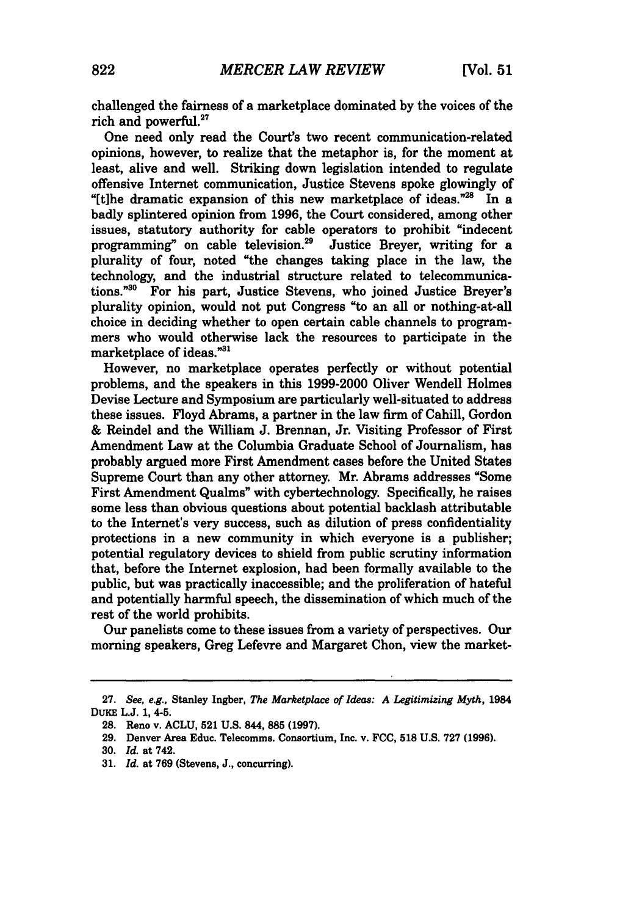challenged the fairness of a marketplace dominated by the voices of the rich and powerful.<sup>27</sup>

One need only read the Court's two recent communication-related opinions, however, to realize that the metaphor is, for the moment at least, alive and well. Striking down legislation intended to regulate offensive Internet communication, Justice Stevens spoke glowingly of "[t]he dramatic expansion of this new marketplace of ideas." $28$  In a badly splintered opinion from 1996, the Court considered, among other issues, statutory authority for cable operators to prohibit "indecent programming" on cable television.<sup>29</sup> Justice Brever, writing for a programming" on cable television.<sup>29</sup> plurality of four, noted "the changes taking place in the law, the technology, and the industrial structure related to telecommunications."30 For his part, Justice Stevens, who joined Justice Breyer's plurality opinion, would not put Congress "to an all or nothing-at-all choice in deciding whether to open certain cable channels to programmers who would otherwise lack the resources to participate in the marketplace of ideas."31

However, no marketplace operates perfectly or without potential problems, and the speakers in this 1999-2000 Oliver Wendell Holmes Devise Lecture and Symposium are particularly well-situated to address these issues. Floyd Abrams, a partner in the law firm of Cahill, Gordon & Reindel and the William J. Brennan, Jr. Visiting Professor of First Amendment Law at the Columbia Graduate School of Journalism, has probably argued more First Amendment cases before the United States Supreme Court than any other attorney. Mr. Abrams addresses "Some First Amendment Qualms" with cybertechnology. Specifically, he raises some less than obvious questions about potential backlash attributable to the Internet's very success, such as dilution of press confidentiality protections in a new community in which everyone is a publisher; potential regulatory devices to shield from public scrutiny information that, before the Internet explosion, had been formally available to the public, but was practically inaccessible; and the proliferation of hateful and potentially harmful speech, the dissemination of which much of the rest of the world prohibits.

Our panelists come to these issues from a variety of perspectives. Our morning speakers, Greg Lefevre and Margaret Chon, view the market-

**<sup>27.</sup>** See, e.g., Stanley Ingber, The Marketplace of *Ideas: A Legitimizing Myth,* 1984 DuKE **L.J. 1,** 4-5.

**<sup>28.</sup>** Reno v. **ACLU, 521 U.S.** 844, **885 (1997).**

**<sup>29.</sup>** Denver Area Educ. Telecomms. Consortium, Inc. v. **FCC, 518 U.S. 727 (1996).**

**<sup>30.</sup>** *Id.* at 742.

**<sup>31.</sup>** *Id.* at **769** (Stevens, **J.,** concurring).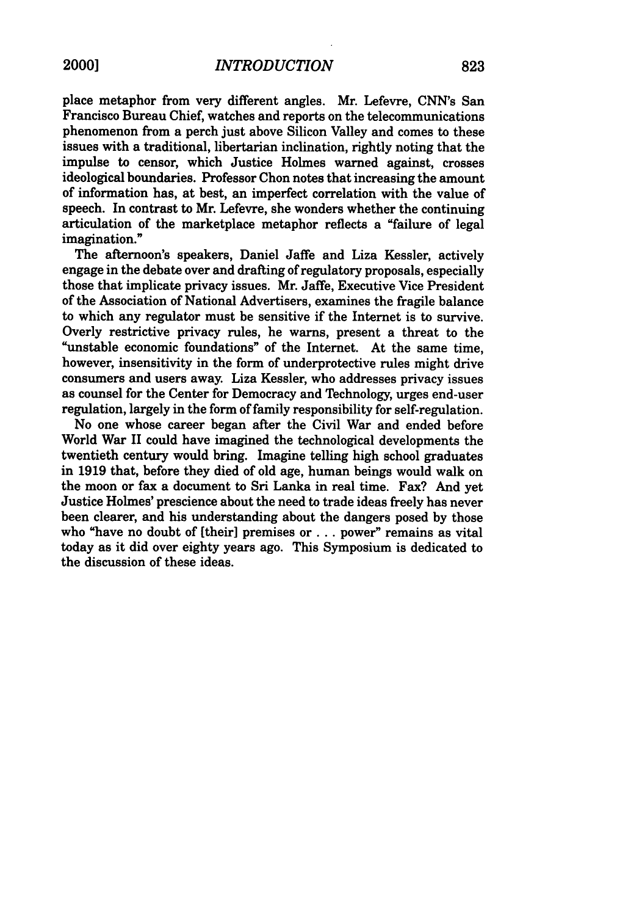place metaphor from very different angles. Mr. Lefevre, CNN's San Francisco Bureau Chief, watches and reports on the telecommunications phenomenon from a perch just above Silicon Valley and comes to these issues with a traditional, libertarian inclination, rightly noting that the impulse to censor, which Justice Holmes warned against, crosses ideological boundaries. Professor Chon notes that increasing the amount of information has, at best, an imperfect correlation with the value of speech. In contrast to Mr. Lefevre, she wonders whether the continuing articulation of the marketplace metaphor reflects a "failure of legal imagination."

The afternoon's speakers, Daniel Jaffe and Liza Kessler, actively engage in the debate over and drafting of regulatory proposals, especially those that implicate privacy issues. Mr. Jaffe, Executive Vice President of the Association of National Advertisers, examines the fragile balance to which any regulator must be sensitive if the Internet is to survive. Overly restrictive privacy rules, he warns, present a threat to the "unstable economic foundations" of the Internet. At the same time, however, insensitivity in the form of underprotective rules might drive consumers and users away. Liza Kessler, who addresses privacy issues as counsel for the Center for Democracy and Technology, urges end-user regulation, largely in the form of family responsibility for self-regulation.

No one whose career began after the Civil War and ended before World War II could have imagined the technological developments the twentieth century would bring. Imagine telling high school graduates in **1919** that, before they died of old age, human beings would walk on the moon or fax a document to Sri Lanka in real time. Fax? And yet Justice Holmes' prescience about the need to trade ideas freely has never been clearer, and his understanding about the dangers posed by those who "have no doubt of [their] premises or ... power" remains as vital today as it did over eighty years ago. This Symposium is dedicated to the discussion of these ideas.